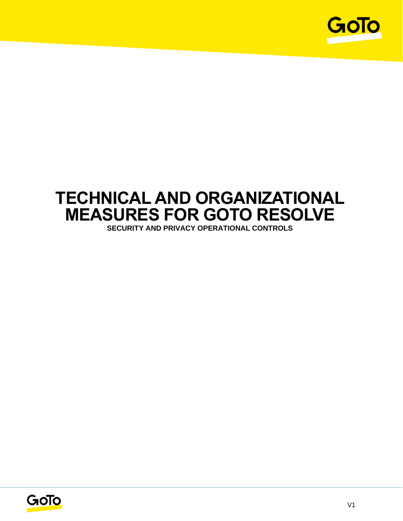

# **TECHNICAL AND ORGANIZATIONAL MEASURES FOR GOTO RESOLVE**

**SECURITY AND PRIVACY OPERATIONAL CONTROLS**

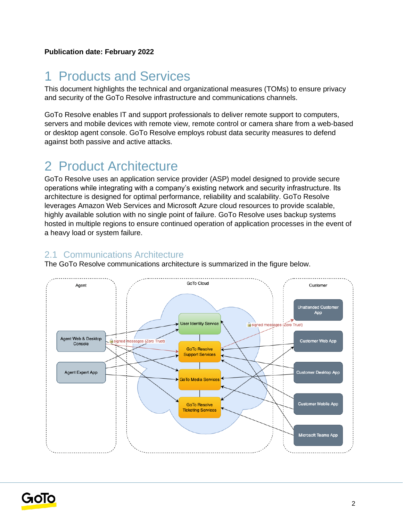## 1 Products and Services

This document highlights the technical and organizational measures (TOMs) to ensure privacy and security of the GoTo Resolve infrastructure and communications channels.

GoTo Resolve enables IT and support professionals to deliver remote support to computers, servers and mobile devices with remote view, remote control or camera share from a web-based or desktop agent console. GoTo Resolve employs robust data security measures to defend against both passive and active attacks.

## 2 Product Architecture

GoTo Resolve uses an application service provider (ASP) model designed to provide secure operations while integrating with a company's existing network and security infrastructure. Its architecture is designed for optimal performance, reliability and scalability. GoTo Resolve leverages Amazon Web Services and Microsoft Azure cloud resources to provide scalable, highly available solution with no single point of failure. GoTo Resolve uses backup systems hosted in multiple regions to ensure continued operation of application processes in the event of a heavy load or system failure.

## 2.1 Communications Architecture

The GoTo Resolve communications architecture is summarized in the figure below.



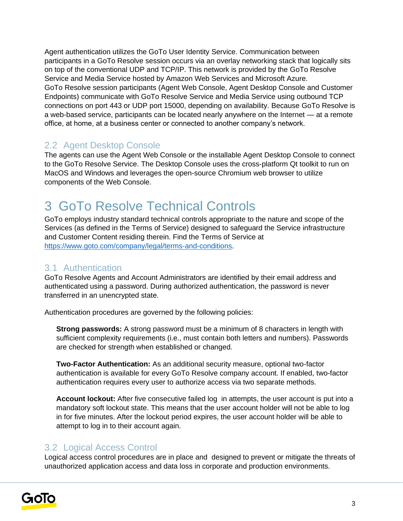Agent authentication utilizes the GoTo User Identity Service. Communication between participants in a GoTo Resolve session occurs via an overlay networking stack that logically sits on top of the conventional UDP and TCP/IP. This network is provided by the GoTo Resolve Service and Media Service hosted by Amazon Web Services and Microsoft Azure. GoTo Resolve session participants (Agent Web Console, Agent Desktop Console and Customer Endpoints) communicate with GoTo Resolve Service and Media Service using outbound TCP connections on port 443 or UDP port 15000, depending on availability. Because GoTo Resolve is a web-based service, participants can be located nearly anywhere on the Internet — at a remote office, at home, at a business center or connected to another company's network.

## 2.2 Agent Desktop Console

The agents can use the Agent Web Console or the installable Agent Desktop Console to connect to the GoTo Resolve Service. The Desktop Console uses the cross-platform Qt toolkit to run on MacOS and Windows and leverages the open-source Chromium web browser to utilize components of the Web Console.

## 3 GoTo Resolve Technical Controls

GoTo employs industry standard technical controls appropriate to the nature and scope of the Services (as defined in the Terms of Service) designed to safeguard the Service infrastructure and Customer Content residing therein. Find the Terms of Service at [https://www.goto.com/company/legal/terms-and-conditions.](https://www.goto.com/company/legal/terms-and-conditions)

### 3.1 Authentication

GoTo Resolve Agents and Account Administrators are identified by their email address and authenticated using a password. During authorized authentication, the password is never transferred in an unencrypted state.

Authentication procedures are governed by the following policies:

**Strong passwords:** A strong password must be a minimum of 8 characters in length with sufficient complexity requirements (i.e., must contain both letters and numbers). Passwords are checked for strength when established or changed.

**Two-Factor Authentication:** As an additional security measure, optional two-factor authentication is available for every GoTo Resolve company account. If enabled, two-factor authentication requires every user to authorize access via two separate methods.

**Account lockout:** After five consecutive failed log in attempts, the user account is put into a mandatory soft lockout state. This means that the user account holder will not be able to log in for five minutes. After the lockout period expires, the user account holder will be able to attempt to log in to their account again.

### 3.2 Logical Access Control

Logical access control procedures are in place and designed to prevent or mitigate the threats of unauthorized application access and data loss in corporate and production environments.

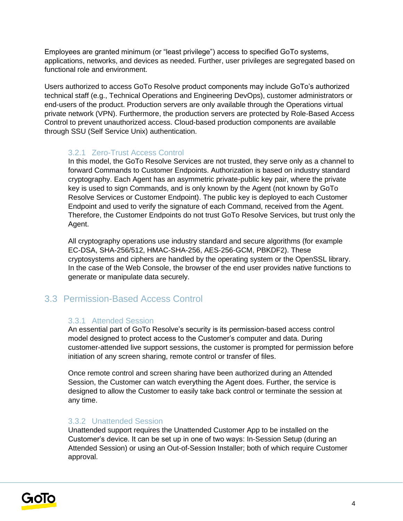Employees are granted minimum (or "least privilege") access to specified GoTo systems, applications, networks, and devices as needed. Further, user privileges are segregated based on functional role and environment.

Users authorized to access GoTo Resolve product components may include GoTo's authorized technical staff (e.g., Technical Operations and Engineering DevOps), customer administrators or end-users of the product. Production servers are only available through the Operations virtual private network (VPN). Furthermore, the production servers are protected by Role-Based Access Control to prevent unauthorized access. Cloud-based production components are available through SSU (Self Service Unix) authentication.

#### 3.2.1 Zero-Trust Access Control

In this model, the GoTo Resolve Services are not trusted, they serve only as a channel to forward Commands to Customer Endpoints. Authorization is based on industry standard cryptography. Each Agent has an asymmetric private-public key pair, where the private key is used to sign Commands, and is only known by the Agent (not known by GoTo Resolve Services or Customer Endpoint). The public key is deployed to each Customer Endpoint and used to verify the signature of each Command, received from the Agent. Therefore, the Customer Endpoints do not trust GoTo Resolve Services, but trust only the Agent.

All cryptography operations use industry standard and secure algorithms (for example EC-DSA, SHA-256/512, HMAC-SHA-256, AES-256-GCM, PBKDF2). These cryptosystems and ciphers are handled by the operating system or the OpenSSL library. In the case of the Web Console, the browser of the end user provides native functions to generate or manipulate data securely.

## 3.3 Permission-Based Access Control

### 3.3.1 Attended Session

An essential part of GoTo Resolve's security is its permission-based access control model designed to protect access to the Customer's computer and data. During customer-attended live support sessions, the customer is prompted for permission before initiation of any screen sharing, remote control or transfer of files.

Once remote control and screen sharing have been authorized during an Attended Session, the Customer can watch everything the Agent does. Further, the service is designed to allow the Customer to easily take back control or terminate the session at any time.

### 3.3.2 Unattended Session

Unattended support requires the Unattended Customer App to be installed on the Customer's device. It can be set up in one of two ways: In-Session Setup (during an Attended Session) or using an Out-of-Session Installer; both of which require Customer approval.

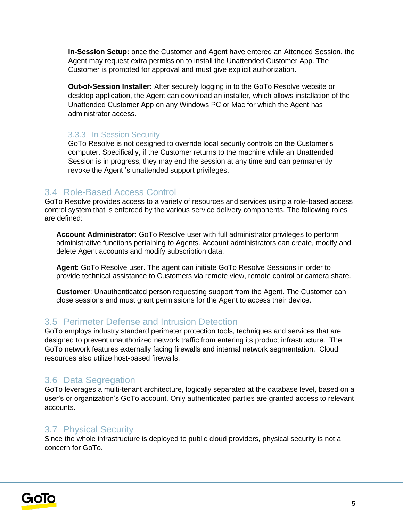**In-Session Setup:** once the Customer and Agent have entered an Attended Session, the Agent may request extra permission to install the Unattended Customer App. The Customer is prompted for approval and must give explicit authorization.

**Out-of-Session Installer:** After securely logging in to the GoTo Resolve website or desktop application, the Agent can download an installer, which allows installation of the Unattended Customer App on any Windows PC or Mac for which the Agent has administrator access.

#### 3.3.3 In-Session Security

GoTo Resolve is not designed to override local security controls on the Customer's computer. Specifically, if the Customer returns to the machine while an Unattended Session is in progress, they may end the session at any time and can permanently revoke the Agent 's unattended support privileges.

### 3.4 Role-Based Access Control

GoTo Resolve provides access to a variety of resources and services using a role-based access control system that is enforced by the various service delivery components. The following roles are defined:

**Account Administrator**: GoTo Resolve user with full administrator privileges to perform administrative functions pertaining to Agents. Account administrators can create, modify and delete Agent accounts and modify subscription data.

**Agent**: GoTo Resolve user. The agent can initiate GoTo Resolve Sessions in order to provide technical assistance to Customers via remote view, remote control or camera share.

**Customer**: Unauthenticated person requesting support from the Agent. The Customer can close sessions and must grant permissions for the Agent to access their device.

### 3.5 Perimeter Defense and Intrusion Detection

GoTo employs industry standard perimeter protection tools, techniques and services that are designed to prevent unauthorized network traffic from entering its product infrastructure. The GoTo network features externally facing firewalls and internal network segmentation. Cloud resources also utilize host-based firewalls.

### 3.6 Data Segregation

GoTo leverages a multi-tenant architecture, logically separated at the database level, based on a user's or organization's GoTo account. Only authenticated parties are granted access to relevant accounts.

### 3.7 Physical Security

Since the whole infrastructure is deployed to public cloud providers, physical security is not a concern for GoTo.

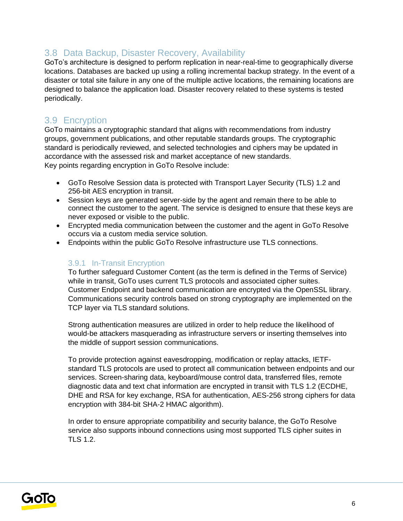### 3.8 Data Backup, Disaster Recovery, Availability

GoTo's architecture is designed to perform replication in near-real-time to geographically diverse locations. Databases are backed up using a rolling incremental backup strategy. In the event of a disaster or total site failure in any one of the multiple active locations, the remaining locations are designed to balance the application load. Disaster recovery related to these systems is tested periodically.

### 3.9 Encryption

GoTo maintains a cryptographic standard that aligns with recommendations from industry groups, government publications, and other reputable standards groups. The cryptographic standard is periodically reviewed, and selected technologies and ciphers may be updated in accordance with the assessed risk and market acceptance of new standards. Key points regarding encryption in GoTo Resolve include:

- GoTo Resolve Session data is protected with Transport Layer Security (TLS) 1.2 and 256-bit AES encryption in transit.
- Session keys are generated server-side by the agent and remain there to be able to connect the customer to the agent. The service is designed to ensure that these keys are never exposed or visible to the public.
- Encrypted media communication between the customer and the agent in GoTo Resolve occurs via a custom media service solution.
- Endpoints within the public GoTo Resolve infrastructure use TLS connections.

#### 3.9.1 In-Transit Encryption

To further safeguard Customer Content (as the term is defined in the Terms of Service) while in transit, GoTo uses current TLS protocols and associated cipher suites. Customer Endpoint and backend communication are encrypted via the OpenSSL library. Communications security controls based on strong cryptography are implemented on the TCP layer via TLS standard solutions.

Strong authentication measures are utilized in order to help reduce the likelihood of would-be attackers masquerading as infrastructure servers or inserting themselves into the middle of support session communications.

To provide protection against eavesdropping, modification or replay attacks, IETFstandard TLS protocols are used to protect all communication between endpoints and our services. Screen-sharing data, keyboard/mouse control data, transferred files, remote diagnostic data and text chat information are encrypted in transit with TLS 1.2 (ECDHE, DHE and RSA for key exchange, RSA for authentication, AES-256 strong ciphers for data encryption with 384-bit SHA-2 HMAC algorithm).

In order to ensure appropriate compatibility and security balance, the GoTo Resolve service also supports inbound connections using most supported TLS cipher suites in TLS 1.2.

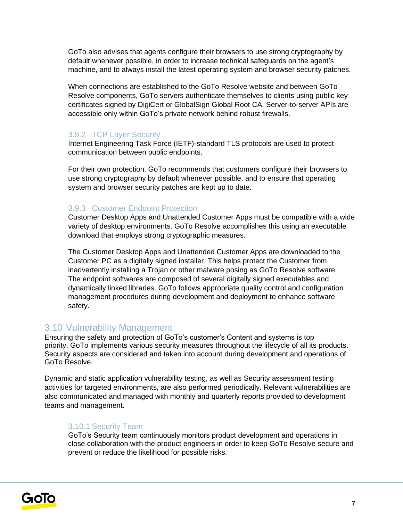GoTo also advises that agents configure their browsers to use strong cryptography by default whenever possible, in order to increase technical safeguards on the agent's machine, and to always install the latest operating system and browser security patches.

When connections are established to the GoTo Resolve website and between GoTo Resolve components, GoTo servers authenticate themselves to clients using public key certificates signed by DigiCert or GlobalSign Global Root CA. Server-to-server APIs are accessible only within GoTo's private network behind robust firewalls.

#### 3.9.2 TCP Layer Security

Internet Engineering Task Force (IETF)-standard TLS protocols are used to protect communication between public endpoints.

For their own protection, GoTo recommends that customers configure their browsers to use strong cryptography by default whenever possible, and to ensure that operating system and browser security patches are kept up to date.

#### 3.9.3 Customer Endpoint Protection

Customer Desktop Apps and Unattended Customer Apps must be compatible with a wide variety of desktop environments. GoTo Resolve accomplishes this using an executable download that employs strong cryptographic measures.

The Customer Desktop Apps and Unattended Customer Apps are downloaded to the Customer PC as a digitally signed installer. This helps protect the Customer from inadvertently installing a Trojan or other malware posing as GoTo Resolve software. The endpoint softwares are composed of several digitally signed executables and dynamically linked libraries. GoTo follows appropriate quality control and configuration management procedures during development and deployment to enhance software safety.

### 3.10 Vulnerability Management

Ensuring the safety and protection of GoTo's customer's Content and systems is top priority. GoTo implements various security measures throughout the lifecycle of all its products. Security aspects are considered and taken into account during development and operations of GoTo Resolve.

Dynamic and static application vulnerability testing, as well as Security assessment testing activities for targeted environments, are also performed periodically. Relevant vulnerabilities are also communicated and managed with monthly and quarterly reports provided to development teams and management.

#### 3.10.1 Security Team

GoTo's Security team continuously monitors product development and operations in close collaboration with the product engineers in order to keep GoTo Resolve secure and prevent or reduce the likelihood for possible risks.

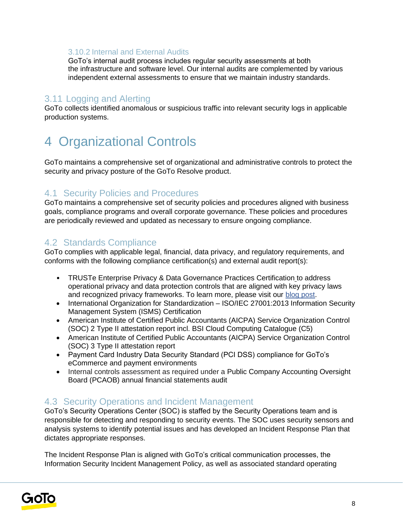### 3.10.2 Internal and External Audits

GoTo's internal audit process includes regular security assessments at both the infrastructure and software level. Our internal audits are complemented by various independent external assessments to ensure that we maintain industry standards.

### 3.11 Logging and Alerting

GoTo collects identified anomalous or suspicious traffic into relevant security logs in applicable production systems.

## 4 Organizational Controls

GoTo maintains a comprehensive set of organizational and administrative controls to protect the security and privacy posture of the GoTo Resolve product.

### 4.1 Security Policies and Procedures

GoTo maintains a comprehensive set of security policies and procedures aligned with business goals, compliance programs and overall corporate governance. These policies and procedures are periodically reviewed and updated as necessary to ensure ongoing compliance.

### 4.2 Standards Compliance

GoTo complies with applicable legal, financial, data privacy, and regulatory requirements, and conforms with the following compliance certification(s) and external audit report(s):

- TRUSTe Enterprise Privacy & Data Governance Practices Certification to address operational privacy and data protection controls that are aligned with key privacy laws and recognized privacy frameworks. To learn more, please visit our [blog post.](https://www.goto.com/blog/logmein-furthers-commitment-to-data-privacy-with-truste-enterprise-privacy-certification-seal)
- International Organization for Standardization ISO/IEC 27001:2013 Information Security Management System (ISMS) Certification
- American Institute of Certified Public Accountants (AICPA) Service Organization Control (SOC) 2 Type II attestation report incl. BSI Cloud Computing Catalogue (C5)
- American Institute of Certified Public Accountants (AICPA) Service Organization Control (SOC) 3 Type II attestation report
- Payment Card Industry Data Security Standard (PCI DSS) compliance for GoTo's eCommerce and payment environments
- Internal controls assessment as required under a Public Company Accounting Oversight Board (PCAOB) annual financial statements audit

### 4.3 Security Operations and Incident Management

GoTo's Security Operations Center (SOC) is staffed by the Security Operations team and is responsible for detecting and responding to security events. The SOC uses security sensors and analysis systems to identify potential issues and has developed an Incident Response Plan that dictates appropriate responses.

The Incident Response Plan is aligned with GoTo's critical communication processes, the Information Security Incident Management Policy, as well as associated standard operating

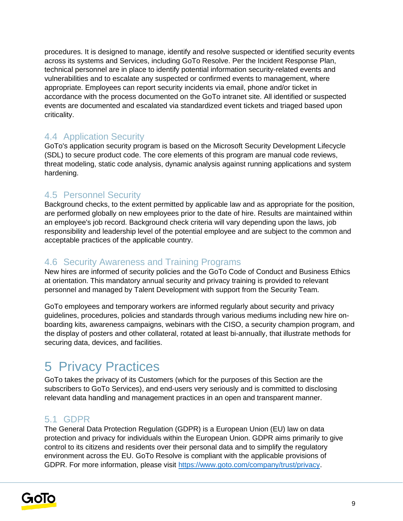procedures. It is designed to manage, identify and resolve suspected or identified security events across its systems and Services, including GoTo Resolve. Per the Incident Response Plan, technical personnel are in place to identify potential information security-related events and vulnerabilities and to escalate any suspected or confirmed events to management, where appropriate. Employees can report security incidents via email, phone and/or ticket in accordance with the process documented on the GoTo intranet site. All identified or suspected events are documented and escalated via standardized event tickets and triaged based upon criticality.

## 4.4 Application Security

GoTo's application security program is based on the Microsoft Security Development Lifecycle (SDL) to secure product code. The core elements of this program are manual code reviews, threat modeling, static code analysis, dynamic analysis against running applications and system hardening.

## 4.5 Personnel Security

Background checks, to the extent permitted by applicable law and as appropriate for the position, are performed globally on new employees prior to the date of hire. Results are maintained within an employee's job record. Background check criteria will vary depending upon the laws, job responsibility and leadership level of the potential employee and are subject to the common and acceptable practices of the applicable country.

### 4.6 Security Awareness and Training Programs

New hires are informed of security policies and the GoTo Code of Conduct and Business Ethics at orientation. This mandatory annual security and privacy training is provided to relevant personnel and managed by Talent Development with support from the Security Team.

GoTo employees and temporary workers are informed regularly about security and privacy guidelines, procedures, policies and standards through various mediums including new hire onboarding kits, awareness campaigns, webinars with the CISO, a security champion program, and the display of posters and other collateral, rotated at least bi-annually, that illustrate methods for securing data, devices, and facilities.

## 5 Privacy Practices

GoTo takes the privacy of its Customers (which for the purposes of this Section are the subscribers to GoTo Services), and end-users very seriously and is committed to disclosing relevant data handling and management practices in an open and transparent manner.

### 5.1 GDPR

The General Data Protection Regulation (GDPR) is a European Union (EU) law on data protection and privacy for individuals within the European Union. GDPR aims primarily to give control to its citizens and residents over their personal data and to simplify the regulatory environment across the EU. GoTo Resolve is compliant with the applicable provisions of GDPR. For more information, please visit [https://www.goto.com/company/trust/privacy.](https://www.goto.com/company/trust/privacy)

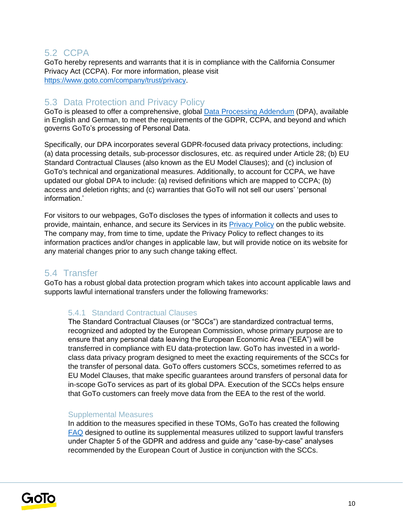### 5.2 CCPA

GoTo hereby represents and warrants that it is in compliance with the California Consumer Privacy Act (CCPA). For more information, please visit [https://www.goto.com/company/trust/privacy.](https://www.goto.com/company/trust/privacy)

### 5.3 Data Protection and Privacy Policy

GoTo is pleased to offer a comprehensive, global [Data Processing Addendum](https://www.goto.com/company/legal) (DPA), available in [English](https://www.docusign.net/Member/PowerFormSigning.aspx?PowerFormId=87db4c61-3929-4ccb-ab58-b202e064c4a1) and [German,](https://www.docusign.net/Member/PowerFormSigning.aspx?PowerFormId=29541afa-3cf0-4d7c-90f8-e971a0866b8e&env=na1) to meet the requirements of the GDPR, CCPA, and beyond and which governs GoTo's processing of Personal Data.

Specifically, our DPA incorporates several GDPR-focused data privacy protections, including: (a) data processing details, sub-processor disclosures, etc. as required under Article 28; (b) EU Standard Contractual Clauses (also known as the EU Model Clauses); and (c) inclusion of GoTo's technical and organizational measures. Additionally, to account for CCPA, we have updated our global DPA to include: (a) revised definitions which are mapped to CCPA; (b) access and deletion rights; and (c) warranties that GoTo will not sell our users' 'personal information.'

For visitors to our webpages, GoTo discloses the types of information it collects and uses to provide, maintain, enhance, and secure its Services in its **Privacy Policy** on the public website. The company may, from time to time, update the Privacy Policy to reflect changes to its information practices and/or changes in applicable law, but will provide notice on its website for any material changes prior to any such change taking effect.

### 5.4 Transfer

GoTo has a robust global data protection program which takes into account applicable laws and supports lawful international transfers under the following frameworks:

#### 5.4.1 Standard Contractual Clauses

The Standard Contractual Clauses (or "SCCs") are standardized contractual terms, recognized and adopted by the European Commission, whose primary purpose are to ensure that any personal data leaving the European Economic Area ("EEA") will be transferred in compliance with EU data-protection law. GoTo has invested in a worldclass data privacy program designed to meet the exacting requirements of the SCCs for the transfer of personal data. GoTo offers customers SCCs, sometimes referred to as EU Model Clauses, that make specific guarantees around transfers of personal data for in-scope GoTo services as part of its global DPA. Execution of the SCCs helps ensure that GoTo customers can freely move data from the EEA to the rest of the world.

#### Supplemental Measures

In addition to the measures specified in these TOMs, GoTo has created the following [FAQ](https://logmeincdn.azureedge.net/legal/international-data-transfers-faq.pdf) designed to outline its supplemental measures utilized to support lawful transfers under Chapter 5 of the GDPR and address and guide any "case-by-case" analyses recommended by the European Court of Justice in conjunction with the SCCs.

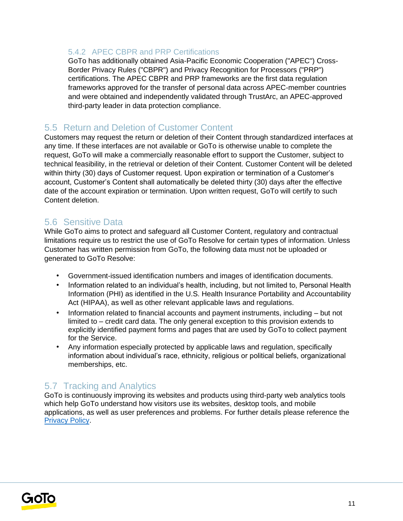### 5.4.2 APEC CBPR and PRP Certifications

GoTo has additionally obtained Asia-Pacific Economic Cooperation ("APEC") Cross-Border Privacy Rules ("CBPR") and Privacy Recognition for Processors ("PRP") certifications. The APEC CBPR and PRP frameworks are the first data regulation frameworks approved for the transfer of personal data across APEC-member countries and were obtained and independently validated through TrustArc, an APEC-approved third-party leader in data protection compliance.

### 5.5 Return and Deletion of Customer Content

Customers may request the return or deletion of their Content through standardized interfaces at any time. If these interfaces are not available or GoTo is otherwise unable to complete the request, GoTo will make a commercially reasonable effort to support the Customer, subject to technical feasibility, in the retrieval or deletion of their Content. Customer Content will be deleted within thirty (30) days of Customer request. Upon expiration or termination of a Customer's account, Customer's Content shall automatically be deleted thirty (30) days after the effective date of the account expiration or termination. Upon written request, GoTo will certify to such Content deletion.

### 5.6 Sensitive Data

While GoTo aims to protect and safeguard all Customer Content, regulatory and contractual limitations require us to restrict the use of GoTo Resolve for certain types of information. Unless Customer has written permission from GoTo, the following data must not be uploaded or generated to GoTo Resolve:

- Government-issued identification numbers and images of identification documents.
- Information related to an individual's health, including, but not limited to, Personal Health Information (PHI) as identified in the U.S. Health Insurance Portability and Accountability Act (HIPAA), as well as other relevant applicable laws and regulations.
- Information related to financial accounts and payment instruments, including but not limited to – credit card data. The only general exception to this provision extends to explicitly identified payment forms and pages that are used by GoTo to collect payment for the Service.
- Any information especially protected by applicable laws and regulation, specifically information about individual's race, ethnicity, religious or political beliefs, organizational memberships, etc.

## 5.7 Tracking and Analytics

GoTo is continuously improving its websites and products using third-party web analytics tools which help GoTo understand how visitors use its websites, desktop tools, and mobile applications, as well as user preferences and problems. For further details please reference the [Privacy Policy](https://www.goto.com/company/legal/privacy)[.](https://www.logmein.com/legal/privacy)

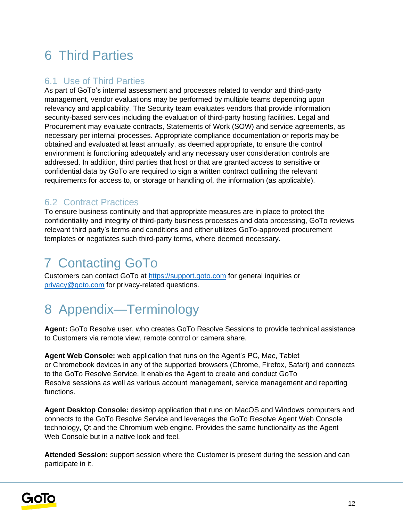## 6 Third Parties

## 6.1 Use of Third Parties

As part of GoTo's internal assessment and processes related to vendor and third-party management, vendor evaluations may be performed by multiple teams depending upon relevancy and applicability. The Security team evaluates vendors that provide information security-based services including the evaluation of third-party hosting facilities. Legal and Procurement may evaluate contracts, Statements of Work (SOW) and service agreements, as necessary per internal processes. Appropriate compliance documentation or reports may be obtained and evaluated at least annually, as deemed appropriate, to ensure the control environment is functioning adequately and any necessary user consideration controls are addressed. In addition, third parties that host or that are granted access to sensitive or confidential data by GoTo are required to sign a written contract outlining the relevant requirements for access to, or storage or handling of, the information (as applicable).

## 6.2 Contract Practices

To ensure business continuity and that appropriate measures are in place to protect the confidentiality and integrity of third-party business processes and data processing, GoTo reviews relevant third party's terms and conditions and either utilizes GoTo-approved procurement templates or negotiates such third-party terms, where deemed necessary.

## 7 Contacting GoTo

Customers can contact GoTo a[t](https://support.logmeininc.com/) [https://support.goto.com](https://support.goto.com/) for general inquiries or privacy@goto.com for privacy-related questions.

## 8 Appendix—Terminology

**Agent:** GoTo Resolve user, who creates GoTo Resolve Sessions to provide technical assistance to Customers via remote view, remote control or camera share.

**Agent Web Console:** web application that runs on the Agent's PC, Mac, Tablet or Chromebook devices in any of the supported browsers (Chrome, Firefox, Safari) and connects to the GoTo Resolve Service. It enables the Agent to create and conduct GoTo Resolve sessions as well as various account management, service management and reporting functions.

**Agent Desktop Console:** desktop application that runs on MacOS and Windows computers and connects to the GoTo Resolve Service and leverages the GoTo Resolve Agent Web Console technology, Qt and the Chromium web engine. Provides the same functionality as the Agent Web Console but in a native look and feel.

**Attended Session:** support session where the Customer is present during the session and can participate in it.